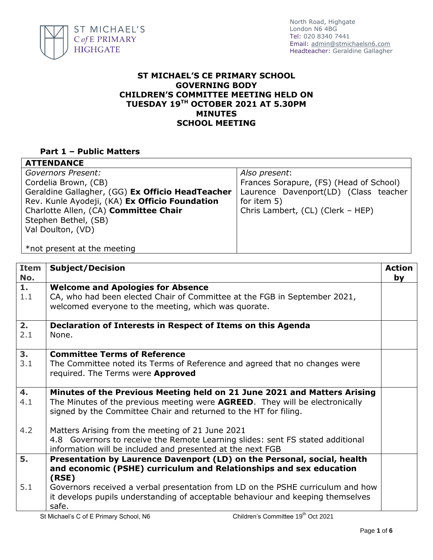

## **ST MICHAEL'S CE PRIMARY SCHOOL GOVERNING BODY CHILDREN'S COMMITTEE MEETING HELD ON TUESDAY 19TH OCTOBER 2021 AT 5.30PM MINUTES SCHOOL MEETING**

## **Part 1 – Public Matters**

| <b>ATTENDANCE</b>                                |                                         |  |
|--------------------------------------------------|-----------------------------------------|--|
| Governors Present:                               | Also present:                           |  |
| Cordelia Brown, (CB)                             | Frances Sorapure, (FS) (Head of School) |  |
| Geraldine Gallagher, (GG) Ex Officio HeadTeacher | Laurence Davenport(LD) (Class teacher   |  |
| Rev. Kunle Ayodeji, (KA) Ex Officio Foundation   | for item 5)                             |  |
| Charlotte Allen, (CA) Committee Chair            | Chris Lambert, (CL) (Clerk - HEP)       |  |
| Stephen Bethel, (SB)                             |                                         |  |
| Val Doulton, (VD)                                |                                         |  |
|                                                  |                                         |  |
| *not present at the meeting                      |                                         |  |

| <b>Item</b><br>No. | <b>Subject/Decision</b>                                                                                                                                                                                                      | <b>Action</b><br>by |
|--------------------|------------------------------------------------------------------------------------------------------------------------------------------------------------------------------------------------------------------------------|---------------------|
| 1.<br>1.1          | <b>Welcome and Apologies for Absence</b><br>CA, who had been elected Chair of Committee at the FGB in September 2021,<br>welcomed everyone to the meeting, which was quorate.                                                |                     |
| 2.<br>2.1          | Declaration of Interests in Respect of Items on this Agenda<br>None.                                                                                                                                                         |                     |
| 3.<br>3.1          | <b>Committee Terms of Reference</b><br>The Committee noted its Terms of Reference and agreed that no changes were<br>required. The Terms were <b>Approved</b>                                                                |                     |
| 4.<br>4.1          | Minutes of the Previous Meeting held on 21 June 2021 and Matters Arising<br>The Minutes of the previous meeting were AGREED. They will be electronically<br>signed by the Committee Chair and returned to the HT for filing. |                     |
| 4.2                | Matters Arising from the meeting of 21 June 2021<br>4.8 Governors to receive the Remote Learning slides: sent FS stated additional<br>information will be included and presented at the next FGB                             |                     |
| 5.                 | Presentation by Laurence Davenport (LD) on the Personal, social, health<br>and economic (PSHE) curriculum and Relationships and sex education<br>(RSE)                                                                       |                     |
| 5.1                | Governors received a verbal presentation from LD on the PSHE curriculum and how<br>it develops pupils understanding of acceptable behaviour and keeping themselves<br>safe.<br>$-$ th $-$                                    |                     |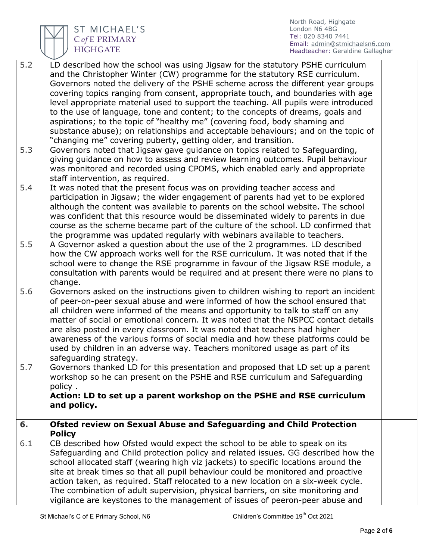

ST MICHAEL'S<br>CofE PRIMARY<br>HIGHGATE

North Road, Highgate London N6 4BG Tel: 020 8340 7441 Email: [admin@stmichaelsn6.com](mailto:admin@stmichaelsn6.com) Headteacher: Geraldine Gallagher

| $\overline{5.2}$ | LD described how the school was using Jigsaw for the statutory PSHE curriculum      |  |
|------------------|-------------------------------------------------------------------------------------|--|
|                  | and the Christopher Winter (CW) programme for the statutory RSE curriculum.         |  |
|                  | Governors noted the delivery of the PSHE scheme across the different year groups    |  |
|                  | covering topics ranging from consent, appropriate touch, and boundaries with age    |  |
|                  | level appropriate material used to support the teaching. All pupils were introduced |  |
|                  | to the use of language, tone and content; to the concepts of dreams, goals and      |  |
|                  | aspirations; to the topic of "healthy me" (covering food, body shaming and          |  |
|                  | substance abuse); on relationships and acceptable behaviours; and on the topic of   |  |
|                  |                                                                                     |  |
|                  | "changing me" covering puberty, getting older, and transition.                      |  |
| 5.3              | Governors noted that Jigsaw gave guidance on topics related to Safeguarding,        |  |
|                  | giving guidance on how to assess and review learning outcomes. Pupil behaviour      |  |
|                  | was monitored and recorded using CPOMS, which enabled early and appropriate         |  |
|                  | staff intervention, as required.                                                    |  |
| 5.4              | It was noted that the present focus was on providing teacher access and             |  |
|                  | participation in Jigsaw; the wider engagement of parents had yet to be explored     |  |
|                  | although the content was available to parents on the school website. The school     |  |
|                  | was confident that this resource would be disseminated widely to parents in due     |  |
|                  | course as the scheme became part of the culture of the school. LD confirmed that    |  |
|                  | the programme was updated regularly with webinars available to teachers.            |  |
| 5.5              | A Governor asked a question about the use of the 2 programmes. LD described         |  |
|                  | how the CW approach works well for the RSE curriculum. It was noted that if the     |  |
|                  | school were to change the RSE programme in favour of the Jigsaw RSE module, a       |  |
|                  | consultation with parents would be required and at present there were no plans to   |  |
|                  | change.                                                                             |  |
| 5.6              | Governors asked on the instructions given to children wishing to report an incident |  |
|                  | of peer-on-peer sexual abuse and were informed of how the school ensured that       |  |
|                  | all children were informed of the means and opportunity to talk to staff on any     |  |
|                  | matter of social or emotional concern. It was noted that the NSPCC contact details  |  |
|                  | are also posted in every classroom. It was noted that teachers had higher           |  |
|                  | awareness of the various forms of social media and how these platforms could be     |  |
|                  |                                                                                     |  |
|                  | used by children in an adverse way. Teachers monitored usage as part of its         |  |
|                  | safeguarding strategy.                                                              |  |
| 5.7              | Governors thanked LD for this presentation and proposed that LD set up a parent     |  |
|                  | workshop so he can present on the PSHE and RSE curriculum and Safeguarding          |  |
|                  | policy.                                                                             |  |
|                  | Action: LD to set up a parent workshop on the PSHE and RSE curriculum               |  |
|                  | and policy.                                                                         |  |
|                  |                                                                                     |  |
| 6.               | Ofsted review on Sexual Abuse and Safeguarding and Child Protection                 |  |
|                  | <b>Policy</b>                                                                       |  |
| 6.1              | CB described how Ofsted would expect the school to be able to speak on its          |  |
|                  | Safeguarding and Child protection policy and related issues. GG described how the   |  |
|                  | school allocated staff (wearing high viz jackets) to specific locations around the  |  |
|                  | site at break times so that all pupil behaviour could be monitored and proactive    |  |
|                  | action taken, as required. Staff relocated to a new location on a six-week cycle.   |  |
|                  | The combination of adult supervision, physical barriers, on site monitoring and     |  |
|                  | vigilance are keystones to the management of issues of peeron-peer abuse and        |  |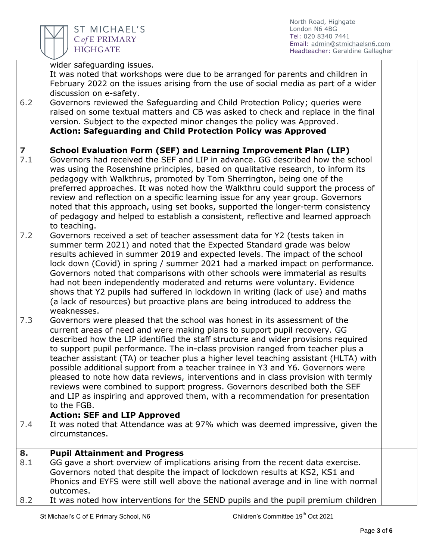

|                         | wider safeguarding issues.                                                                        |  |
|-------------------------|---------------------------------------------------------------------------------------------------|--|
|                         | It was noted that workshops were due to be arranged for parents and children in                   |  |
|                         | February 2022 on the issues arising from the use of social media as part of a wider               |  |
|                         | discussion on e-safety.                                                                           |  |
| 6.2                     | Governors reviewed the Safeguarding and Child Protection Policy; queries were                     |  |
|                         | raised on some textual matters and CB was asked to check and replace in the final                 |  |
|                         | version. Subject to the expected minor changes the policy was Approved.                           |  |
|                         | <b>Action: Safeguarding and Child Protection Policy was Approved</b>                              |  |
|                         |                                                                                                   |  |
| $\overline{\mathbf{z}}$ | School Evaluation Form (SEF) and Learning Improvement Plan (LIP)                                  |  |
| 7.1                     | Governors had received the SEF and LIP in advance. GG described how the school                    |  |
|                         | was using the Rosenshine principles, based on qualitative research, to inform its                 |  |
|                         | pedagogy with Walkthrus, promoted by Tom Sherrington, being one of the                            |  |
|                         |                                                                                                   |  |
|                         | preferred approaches. It was noted how the Walkthru could support the process of                  |  |
|                         | review and reflection on a specific learning issue for any year group. Governors                  |  |
|                         | noted that this approach, using set books, supported the longer-term consistency                  |  |
|                         | of pedagogy and helped to establish a consistent, reflective and learned approach<br>to teaching. |  |
| 7.2                     | Governors received a set of teacher assessment data for Y2 (tests taken in                        |  |
|                         | summer term 2021) and noted that the Expected Standard grade was below                            |  |
|                         | results achieved in summer 2019 and expected levels. The impact of the school                     |  |
|                         | lock down (Covid) in spring / summer 2021 had a marked impact on performance.                     |  |
|                         | Governors noted that comparisons with other schools were immaterial as results                    |  |
|                         | had not been independently moderated and returns were voluntary. Evidence                         |  |
|                         | shows that Y2 pupils had suffered in lockdown in writing (lack of use) and maths                  |  |
|                         | (a lack of resources) but proactive plans are being introduced to address the                     |  |
|                         | weaknesses.                                                                                       |  |
| 7.3                     | Governors were pleased that the school was honest in its assessment of the                        |  |
|                         | current areas of need and were making plans to support pupil recovery. GG                         |  |
|                         | described how the LIP identified the staff structure and wider provisions required                |  |
|                         | to support pupil performance. The in-class provision ranged from teacher plus a                   |  |
|                         | teacher assistant (TA) or teacher plus a higher level teaching assistant (HLTA) with              |  |
|                         | possible additional support from a teacher trainee in Y3 and Y6. Governors were                   |  |
|                         | pleased to note how data reviews, interventions and in class provision with termly                |  |
|                         |                                                                                                   |  |
|                         | reviews were combined to support progress. Governors described both the SEF                       |  |
|                         | and LIP as inspiring and approved them, with a recommendation for presentation                    |  |
|                         | to the FGB.                                                                                       |  |
|                         | <b>Action: SEF and LIP Approved</b>                                                               |  |
| 7.4                     | It was noted that Attendance was at 97% which was deemed impressive, given the                    |  |
|                         | circumstances.                                                                                    |  |
| 8.                      | <b>Pupil Attainment and Progress</b>                                                              |  |
| 8.1                     | GG gave a short overview of implications arising from the recent data exercise.                   |  |
|                         | Governors noted that despite the impact of lockdown results at KS2, KS1 and                       |  |
|                         | Phonics and EYFS were still well above the national average and in line with normal               |  |
|                         | outcomes.                                                                                         |  |
| 8.2                     | It was noted how interventions for the SEND pupils and the pupil premium children                 |  |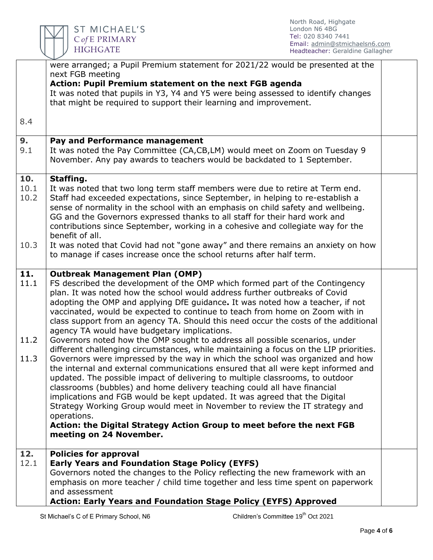

|      | were arranged; a Pupil Premium statement for 2021/22 would be presented at the                                                                                         |  |
|------|------------------------------------------------------------------------------------------------------------------------------------------------------------------------|--|
|      | next FGB meeting                                                                                                                                                       |  |
|      | Action: Pupil Premium statement on the next FGB agenda<br>It was noted that pupils in Y3, Y4 and Y5 were being assessed to identify changes                            |  |
|      | that might be required to support their learning and improvement.                                                                                                      |  |
|      |                                                                                                                                                                        |  |
| 8.4  |                                                                                                                                                                        |  |
| 9.   | Pay and Performance management                                                                                                                                         |  |
| 9.1  | It was noted the Pay Committee (CA,CB,LM) would meet on Zoom on Tuesday 9                                                                                              |  |
|      | November. Any pay awards to teachers would be backdated to 1 September.                                                                                                |  |
| 10.  | Staffing.                                                                                                                                                              |  |
| 10.1 | It was noted that two long term staff members were due to retire at Term end.                                                                                          |  |
| 10.2 | Staff had exceeded expectations, since September, in helping to re-establish a                                                                                         |  |
|      | sense of normality in the school with an emphasis on child safety and wellbeing.                                                                                       |  |
|      | GG and the Governors expressed thanks to all staff for their hard work and                                                                                             |  |
|      | contributions since September, working in a cohesive and collegiate way for the                                                                                        |  |
|      | benefit of all.                                                                                                                                                        |  |
| 10.3 | It was noted that Covid had not "gone away" and there remains an anxiety on how                                                                                        |  |
|      | to manage if cases increase once the school returns after half term.                                                                                                   |  |
| 11.  | <b>Outbreak Management Plan (OMP)</b>                                                                                                                                  |  |
| 11.1 | FS described the development of the OMP which formed part of the Contingency                                                                                           |  |
|      | plan. It was noted how the school would address further outbreaks of Covid                                                                                             |  |
|      | adopting the OMP and applying DfE guidance. It was noted how a teacher, if not                                                                                         |  |
|      | vaccinated, would be expected to continue to teach from home on Zoom with in                                                                                           |  |
|      | class support from an agency TA. Should this need occur the costs of the additional                                                                                    |  |
|      | agency TA would have budgetary implications.                                                                                                                           |  |
| 11.2 | Governors noted how the OMP sought to address all possible scenarios, under                                                                                            |  |
| 11.3 | different challenging circumstances, while maintaining a focus on the LIP priorities.<br>Governors were impressed by the way in which the school was organized and how |  |
|      | the internal and external communications ensured that all were kept informed and                                                                                       |  |
|      | updated. The possible impact of delivering to multiple classrooms, to outdoor                                                                                          |  |
|      | classrooms (bubbles) and home delivery teaching could all have financial                                                                                               |  |
|      | implications and FGB would be kept updated. It was agreed that the Digital                                                                                             |  |
|      | Strategy Working Group would meet in November to review the IT strategy and                                                                                            |  |
|      | operations.                                                                                                                                                            |  |
|      | Action: the Digital Strategy Action Group to meet before the next FGB                                                                                                  |  |
|      | meeting on 24 November.                                                                                                                                                |  |
| 12.  | <b>Policies for approval</b>                                                                                                                                           |  |
| 12.1 | <b>Early Years and Foundation Stage Policy (EYFS)</b>                                                                                                                  |  |
|      | Governors noted the changes to the Policy reflecting the new framework with an                                                                                         |  |
|      | emphasis on more teacher / child time together and less time spent on paperwork                                                                                        |  |
|      | and assessment                                                                                                                                                         |  |
|      | <b>Action: Early Years and Foundation Stage Policy (EYFS) Approved</b>                                                                                                 |  |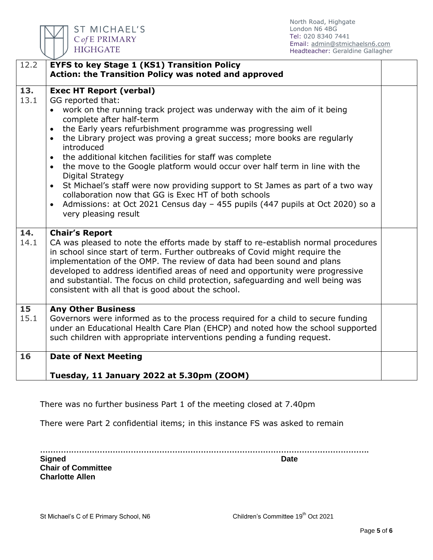

ST MICHAEL'S C of E PRIMARY

North Road, Highgate London N6 4BG Tel: 020 8340 7441 Email: [admin@stmichaelsn6.com](mailto:admin@stmichaelsn6.com) Headteacher: Geraldine Gallagher

| 12.2        | <b>EYFS to key Stage 1 (KS1) Transition Policy</b><br>Action: the Transition Policy was noted and approved                                                                                                                                                                                                                                                                                                                                                                                                                                                                                                                                                                                                                                                                                                            |  |
|-------------|-----------------------------------------------------------------------------------------------------------------------------------------------------------------------------------------------------------------------------------------------------------------------------------------------------------------------------------------------------------------------------------------------------------------------------------------------------------------------------------------------------------------------------------------------------------------------------------------------------------------------------------------------------------------------------------------------------------------------------------------------------------------------------------------------------------------------|--|
| 13.<br>13.1 | <b>Exec HT Report (verbal)</b><br>GG reported that:<br>work on the running track project was underway with the aim of it being<br>complete after half-term<br>the Early years refurbishment programme was progressing well<br>$\bullet$<br>the Library project was proving a great success; more books are regularly<br>$\bullet$<br>introduced<br>the additional kitchen facilities for staff was complete<br>$\bullet$<br>the move to the Google platform would occur over half term in line with the<br>$\bullet$<br>Digital Strategy<br>St Michael's staff were now providing support to St James as part of a two way<br>$\bullet$<br>collaboration now that GG is Exec HT of both schools<br>Admissions: at Oct 2021 Census day - 455 pupils (447 pupils at Oct 2020) so a<br>$\bullet$<br>very pleasing result |  |
| 14.<br>14.1 | <b>Chair's Report</b><br>CA was pleased to note the efforts made by staff to re-establish normal procedures<br>in school since start of term. Further outbreaks of Covid might require the<br>implementation of the OMP. The review of data had been sound and plans<br>developed to address identified areas of need and opportunity were progressive<br>and substantial. The focus on child protection, safeguarding and well being was<br>consistent with all that is good about the school.                                                                                                                                                                                                                                                                                                                       |  |
| 15<br>15.1  | <b>Any Other Business</b><br>Governors were informed as to the process required for a child to secure funding<br>under an Educational Health Care Plan (EHCP) and noted how the school supported<br>such children with appropriate interventions pending a funding request.                                                                                                                                                                                                                                                                                                                                                                                                                                                                                                                                           |  |
| 16          | <b>Date of Next Meeting</b><br>Tuesday, 11 January 2022 at 5.30pm (ZOOM)                                                                                                                                                                                                                                                                                                                                                                                                                                                                                                                                                                                                                                                                                                                                              |  |

There was no further business Part 1 of the meeting closed at 7.40pm

There were Part 2 confidential items; in this instance FS was asked to remain

**……………………………………………………………………………………………………………….**

**Signed** Date **Chair of Committee Charlotte Allen**